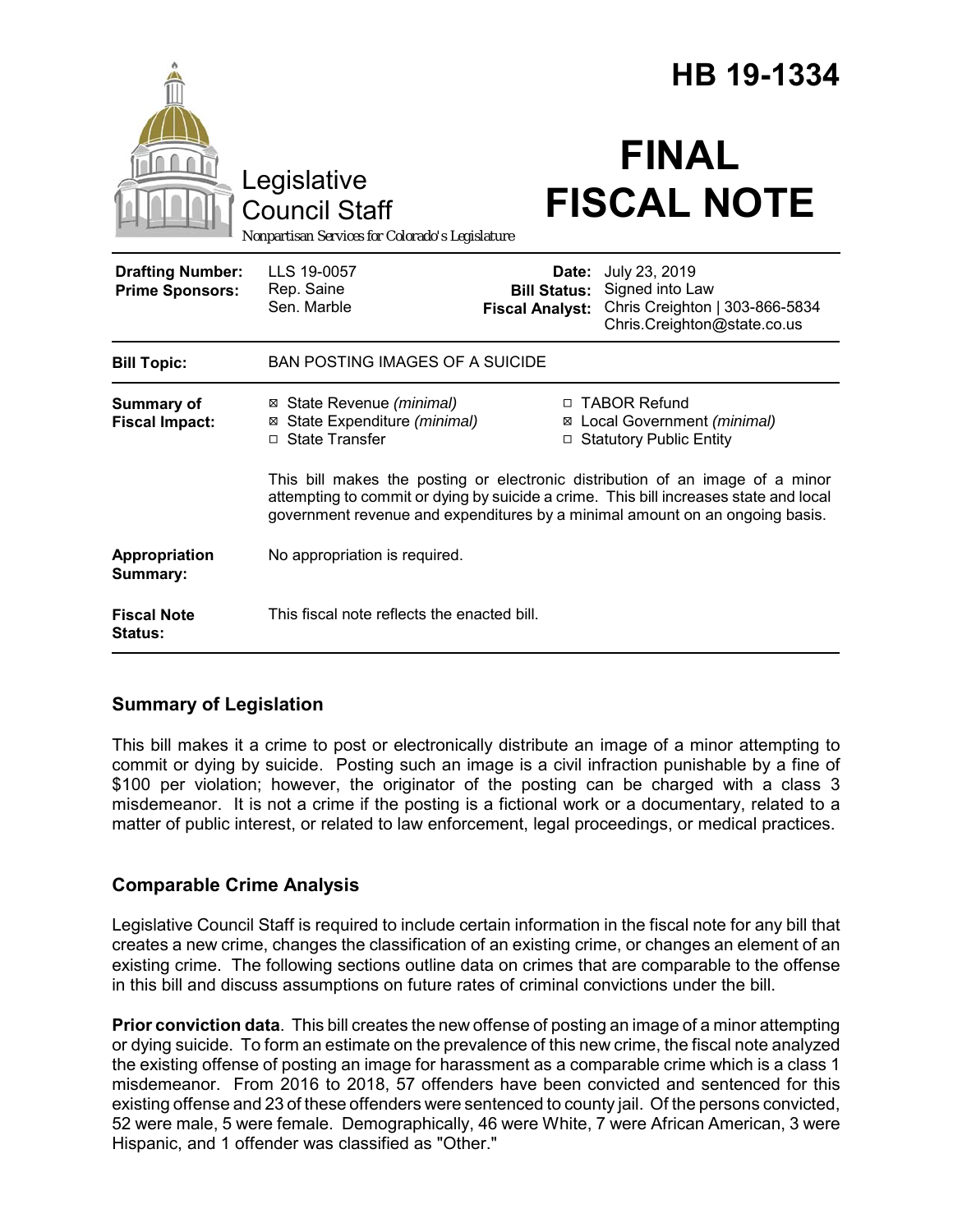|                                                   |                                                                                                                                                                                                                                                        |                                                        | HB 19-1334                                                                                        |
|---------------------------------------------------|--------------------------------------------------------------------------------------------------------------------------------------------------------------------------------------------------------------------------------------------------------|--------------------------------------------------------|---------------------------------------------------------------------------------------------------|
|                                                   | Legislative<br><b>Council Staff</b><br>Nonpartisan Services for Colorado's Legislature                                                                                                                                                                 |                                                        | <b>FINAL</b><br><b>FISCAL NOTE</b>                                                                |
| <b>Drafting Number:</b><br><b>Prime Sponsors:</b> | LLS 19-0057<br>Rep. Saine<br>Sen. Marble                                                                                                                                                                                                               | Date:<br><b>Bill Status:</b><br><b>Fiscal Analyst:</b> | July 23, 2019<br>Signed into Law<br>Chris Creighton   303-866-5834<br>Chris.Creighton@state.co.us |
| <b>Bill Topic:</b>                                | <b>BAN POSTING IMAGES OF A SUICIDE</b>                                                                                                                                                                                                                 |                                                        |                                                                                                   |
| <b>Summary of</b><br><b>Fiscal Impact:</b>        | ⊠ State Revenue (minimal)<br>State Expenditure (minimal)<br>⊠<br>□ State Transfer                                                                                                                                                                      | $\Box$                                                 | □ TABOR Refund<br>⊠ Local Government (minimal)<br><b>Statutory Public Entity</b>                  |
|                                                   | This bill makes the posting or electronic distribution of an image of a minor<br>attempting to commit or dying by suicide a crime. This bill increases state and local<br>government revenue and expenditures by a minimal amount on an ongoing basis. |                                                        |                                                                                                   |
| Appropriation<br>Summary:                         | No appropriation is required.                                                                                                                                                                                                                          |                                                        |                                                                                                   |
| <b>Fiscal Note</b><br><b>Status:</b>              | This fiscal note reflects the enacted bill.                                                                                                                                                                                                            |                                                        |                                                                                                   |

# **Summary of Legislation**

This bill makes it a crime to post or electronically distribute an image of a minor attempting to commit or dying by suicide. Posting such an image is a civil infraction punishable by a fine of \$100 per violation; however, the originator of the posting can be charged with a class 3 misdemeanor. It is not a crime if the posting is a fictional work or a documentary, related to a matter of public interest, or related to law enforcement, legal proceedings, or medical practices.

# **Comparable Crime Analysis**

Legislative Council Staff is required to include certain information in the fiscal note for any bill that creates a new crime, changes the classification of an existing crime, or changes an element of an existing crime. The following sections outline data on crimes that are comparable to the offense in this bill and discuss assumptions on future rates of criminal convictions under the bill.

**Prior conviction data**. This bill creates the new offense of posting an image of a minor attempting or dying suicide. To form an estimate on the prevalence of this new crime, the fiscal note analyzed the existing offense of posting an image for harassment as a comparable crime which is a class 1 misdemeanor. From 2016 to 2018, 57 offenders have been convicted and sentenced for this existing offense and 23 of these offenders were sentenced to county jail. Of the persons convicted, 52 were male, 5 were female. Demographically, 46 were White, 7 were African American, 3 were Hispanic, and 1 offender was classified as "Other."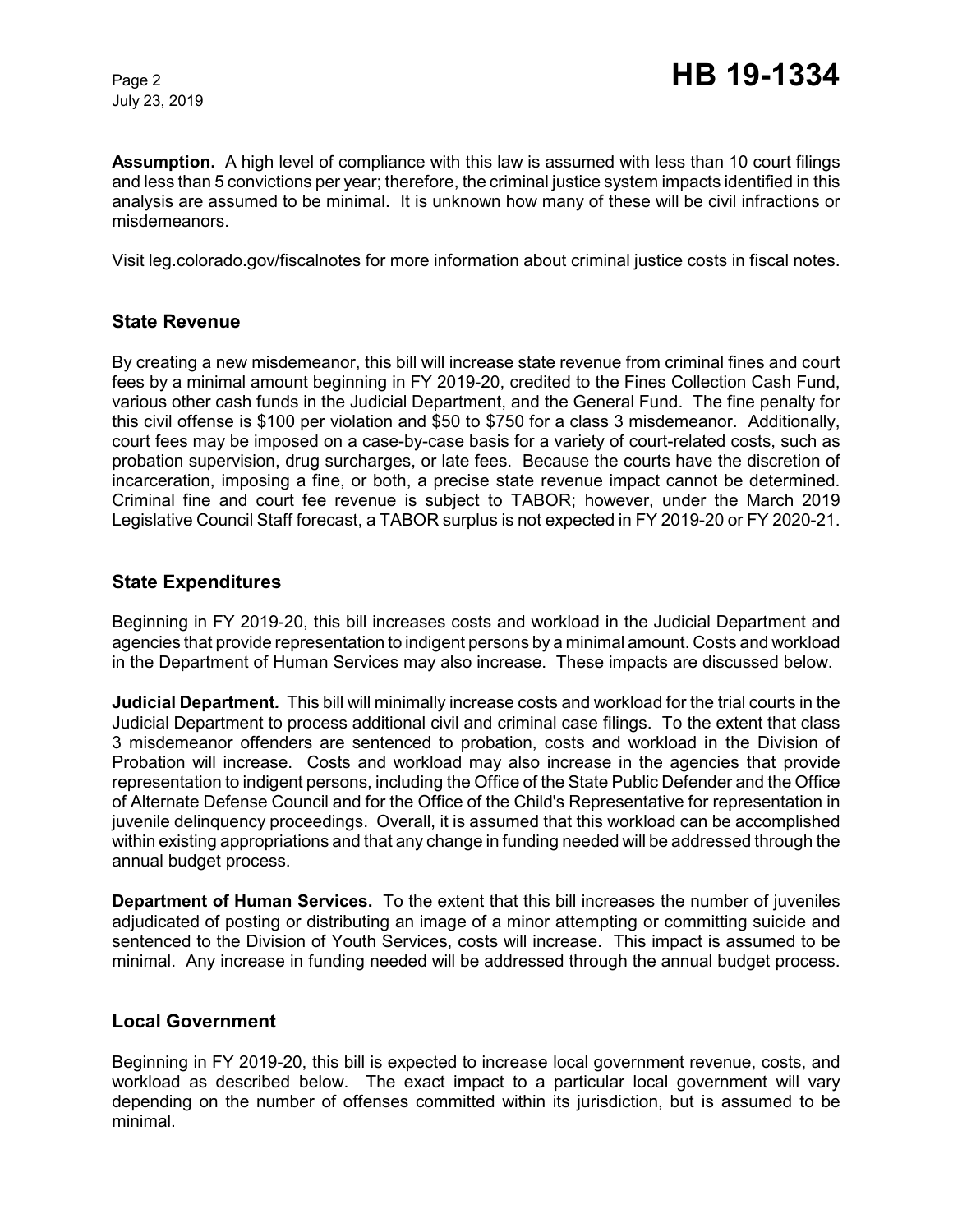July 23, 2019

**Assumption.** A high level of compliance with this law is assumed with less than 10 court filings and less than 5 convictions per year; therefore, the criminal justice system impacts identified in this analysis are assumed to be minimal. It is unknown how many of these will be civil infractions or misdemeanors.

Visit leg.colorado.gov/fiscalnotes for more information about criminal justice costs in fiscal notes.

# **State Revenue**

By creating a new misdemeanor, this bill will increase state revenue from criminal fines and court fees by a minimal amount beginning in FY 2019-20, credited to the Fines Collection Cash Fund, various other cash funds in the Judicial Department, and the General Fund. The fine penalty for this civil offense is \$100 per violation and \$50 to \$750 for a class 3 misdemeanor. Additionally, court fees may be imposed on a case-by-case basis for a variety of court-related costs, such as probation supervision, drug surcharges, or late fees. Because the courts have the discretion of incarceration, imposing a fine, or both, a precise state revenue impact cannot be determined. Criminal fine and court fee revenue is subject to TABOR; however, under the March 2019 Legislative Council Staff forecast, a TABOR surplus is not expected in FY 2019-20 or FY 2020-21.

#### **State Expenditures**

Beginning in FY 2019-20, this bill increases costs and workload in the Judicial Department and agencies that provide representation to indigent persons by a minimal amount. Costs and workload in the Department of Human Services may also increase. These impacts are discussed below.

**Judicial Department***.* This bill will minimally increase costs and workload for the trial courts in the Judicial Department to process additional civil and criminal case filings. To the extent that class 3 misdemeanor offenders are sentenced to probation, costs and workload in the Division of Probation will increase. Costs and workload may also increase in the agencies that provide representation to indigent persons, including the Office of the State Public Defender and the Office of Alternate Defense Council and for the Office of the Child's Representative for representation in juvenile delinquency proceedings. Overall, it is assumed that this workload can be accomplished within existing appropriations and that any change in funding needed will be addressed through the annual budget process.

**Department of Human Services.** To the extent that this bill increases the number of juveniles adjudicated of posting or distributing an image of a minor attempting or committing suicide and sentenced to the Division of Youth Services, costs will increase. This impact is assumed to be minimal. Any increase in funding needed will be addressed through the annual budget process.

#### **Local Government**

Beginning in FY 2019-20, this bill is expected to increase local government revenue, costs, and workload as described below. The exact impact to a particular local government will vary depending on the number of offenses committed within its jurisdiction, but is assumed to be minimal.